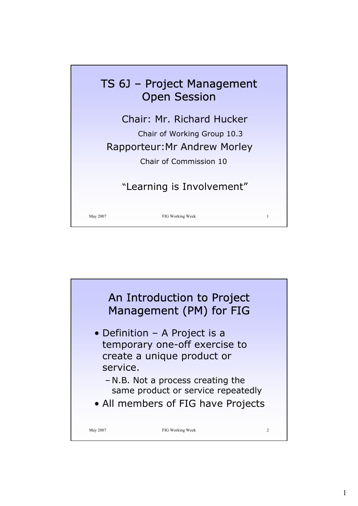

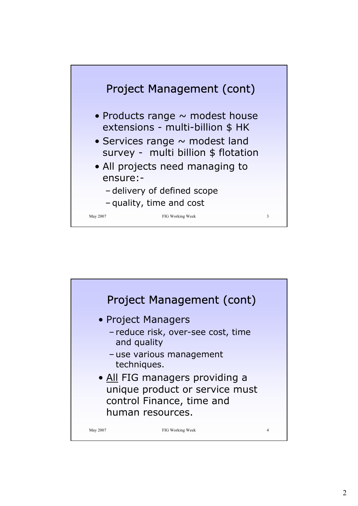

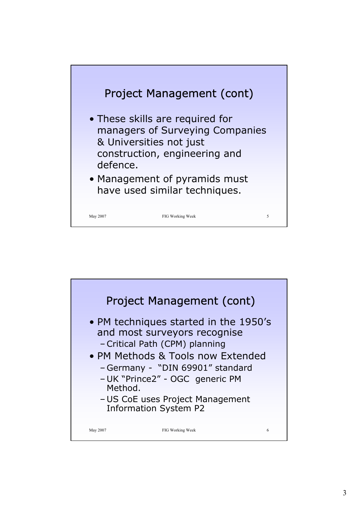

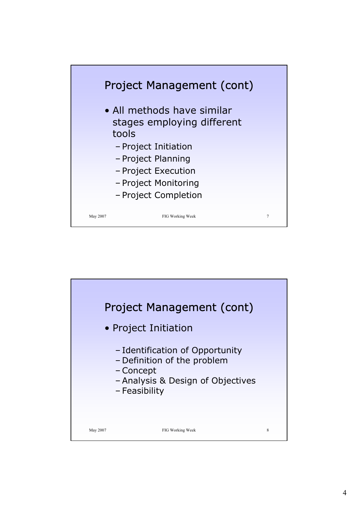

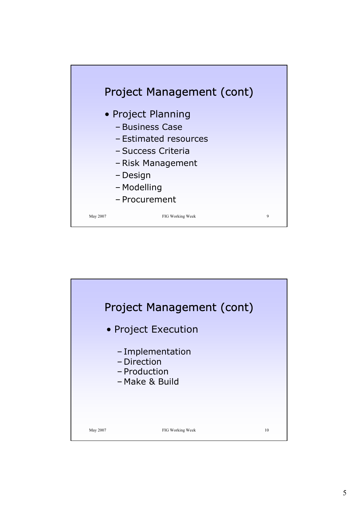

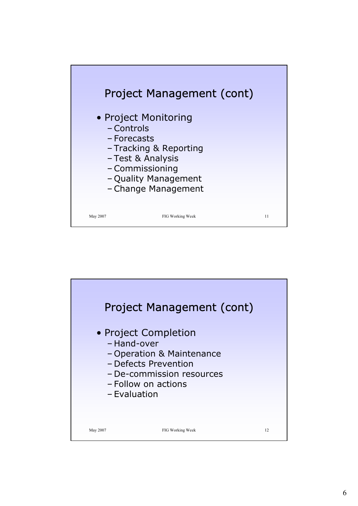

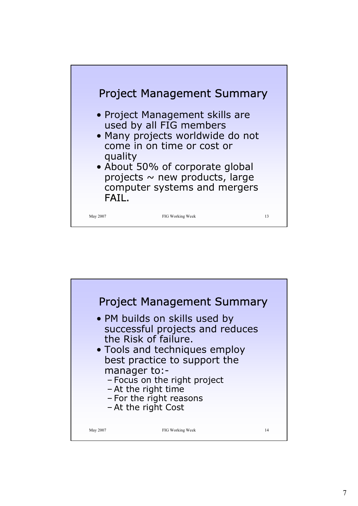